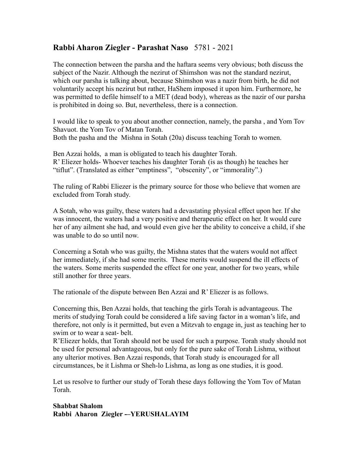## **Rabbi Aharon Ziegler - Parashat Naso** 5781 - 2021

The connection between the parsha and the haftara seems very obvious; both discuss the subject of the Nazir. Although the nezirut of Shimshon was not the standard nezirut, which our parsha is talking about, because Shimshon was a nazir from birth, he did not voluntarily accept his nezirut but rather, HaShem imposed it upon him. Furthermore, he was permitted to defile himself to a MET (dead body), whereas as the nazir of our parsha is prohibited in doing so. But, nevertheless, there is a connection.

I would like to speak to you about another connection, namely, the parsha , and Yom Tov Shavuot. the Yom Tov of Matan Torah. Both the pasha and the Mishna in Sotah (20a) discuss teaching Torah to women.

Ben Azzai holds, a man is obligated to teach his daughter Torah. R' Eliezer holds- Whoever teaches his daughter Torah (is as though) he teaches her "tiflut". (Translated as either "emptiness", "obscenity", or "immorality".)

The ruling of Rabbi Eliezer is the primary source for those who believe that women are excluded from Torah study.

A Sotah, who was guilty, these waters had a devastating physical effect upon her. If she was innocent, the waters had a very positive and therapeutic effect on her. It would cure her of any ailment she had, and would even give her the ability to conceive a child, if she was unable to do so until now.

Concerning a Sotah who was guilty, the Mishna states that the waters would not affect her immediately, if she had some merits. These merits would suspend the ill effects of the waters. Some merits suspended the effect for one year, another for two years, while still another for three years.

The rationale of the dispute between Ben Azzai and R' Eliezer is as follows.

Concerning this, Ben Azzai holds, that teaching the girls Torah is advantageous. The merits of studying Torah could be considered a life saving factor in a woman's life, and therefore, not only is it permitted, but even a Mitzvah to engage in, just as teaching her to swim or to wear a seat- belt.

R'Eliezer holds, that Torah should not be used for such a purpose. Torah study should not be used for personal advantageous, but only for the pure sake of Torah Lishma, without any ulterior motives. Ben Azzai responds, that Torah study is encouraged for all circumstances, be it Lishma or Sheh-lo Lishma, as long as one studies, it is good.

Let us resolve to further our study of Torah these days following the Yom Tov of Matan Torah.

## **Shabbat Shalom Rabbi Aharon Ziegler -–YERUSHALAYIM**